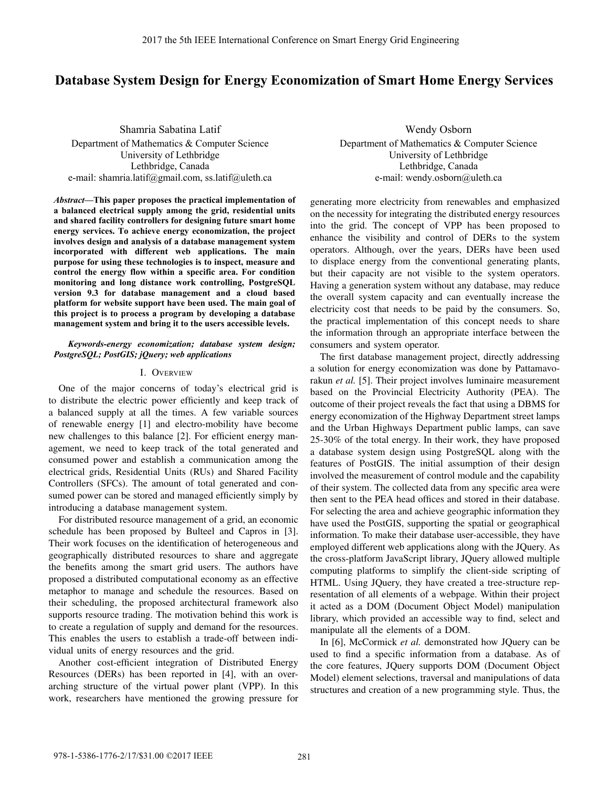# **Database System Design for Energy Economization of Smart Home Energy Services**

Shamria Sabatina Latif Department of Mathematics & Computer Science University of Lethbridge Lethbridge, Canada e-mail: shamria.latif@gmail.com, ss.latif@uleth.ca

*Abstract***—This paper proposes the practical implementation of a balanced electrical supply among the grid, residential units and shared facility controllers for designing future smart home energy services. To achieve energy economization, the project involves design and analysis of a database management system incorporated with different web applications. The main purpose for using these technologies is to inspect, measure and control the energy flow within a specific area. For condition monitoring and long distance work controlling, PostgreSQL version 9.3 for database management and a cloud based platform for website support have been used. The main goal of this project is to process a program by developing a database management system and bring it to the users accessible levels.**

#### *Keywords-energy economization; database system design; PostgreSQL; PostGIS; jQuery; web applications*

#### I. OVERVIEW

One of the major concerns of today's electrical grid is to distribute the electric power efficiently and keep track of a balanced supply at all the times. A few variable sources of renewable energy [1] and electro-mobility have become new challenges to this balance [2]. For efficient energy management, we need to keep track of the total generated and consumed power and establish a communication among the electrical grids, Residential Units (RUs) and Shared Facility Controllers (SFCs). The amount of total generated and consumed power can be stored and managed efficiently simply by introducing a database management system.

For distributed resource management of a grid, an economic schedule has been proposed by Bulteel and Capros in [3]. Their work focuses on the identification of heterogeneous and geographically distributed resources to share and aggregate the benefits among the smart grid users. The authors have proposed a distributed computational economy as an effective metaphor to manage and schedule the resources. Based on their scheduling, the proposed architectural framework also supports resource trading. The motivation behind this work is to create a regulation of supply and demand for the resources. This enables the users to establish a trade-off between individual units of energy resources and the grid.

Another cost-efficient integration of Distributed Energy Resources (DERs) has been reported in [4], with an overarching structure of the virtual power plant (VPP). In this work, researchers have mentioned the growing pressure for

Wendy Osborn Department of Mathematics & Computer Science University of Lethbridge Lethbridge, Canada e-mail: wendy.osborn@uleth.ca

generating more electricity from renewables and emphasized on the necessity for integrating the distributed energy resources into the grid. The concept of VPP has been proposed to enhance the visibility and control of DERs to the system operators. Although, over the years, DERs have been used to displace energy from the conventional generating plants, but their capacity are not visible to the system operators. Having a generation system without any database, may reduce the overall system capacity and can eventually increase the electricity cost that needs to be paid by the consumers. So, the practical implementation of this concept needs to share the information through an appropriate interface between the consumers and system operator.

The first database management project, directly addressing a solution for energy economization was done by Pattamavorakun *et al.* [5]. Their project involves luminaire measurement based on the Provincial Electricity Authority (PEA). The outcome of their project reveals the fact that using a DBMS for energy economization of the Highway Department street lamps and the Urban Highways Department public lamps, can save 25-30% of the total energy. In their work, they have proposed a database system design using PostgreSQL along with the features of PostGIS. The initial assumption of their design involved the measurement of control module and the capability of their system. The collected data from any specific area were then sent to the PEA head offices and stored in their database. For selecting the area and achieve geographic information they have used the PostGIS, supporting the spatial or geographical information. To make their database user-accessible, they have employed different web applications along with the JQuery. As the cross-platform JavaScript library, JQuery allowed multiple computing platforms to simplify the client-side scripting of HTML. Using JQuery, they have created a tree-structure representation of all elements of a webpage. Within their project it acted as a DOM (Document Object Model) manipulation library, which provided an accessible way to find, select and manipulate all the elements of a DOM.

In [6], McCormick *et al.* demonstrated how JQuery can be used to find a specific information from a database. As of the core features, JQuery supports DOM (Document Object Model) element selections, traversal and manipulations of data structures and creation of a new programming style. Thus, the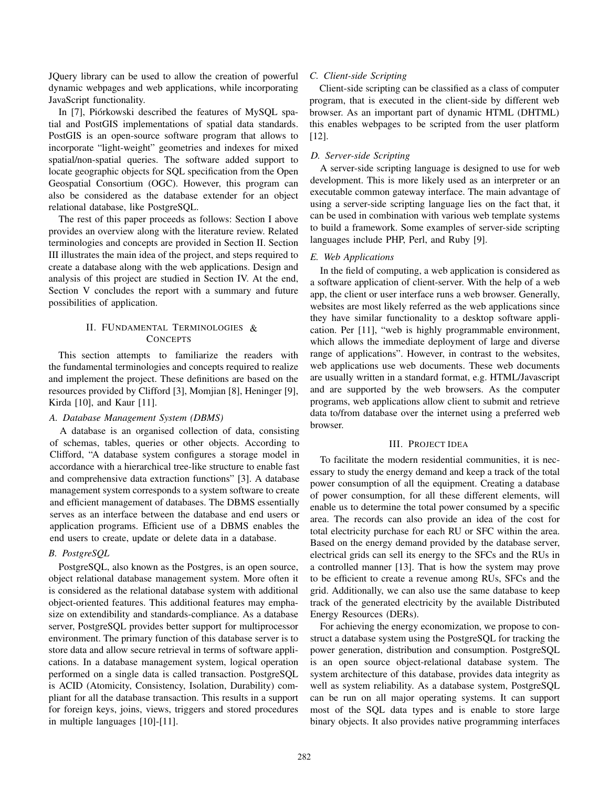JQuery library can be used to allow the creation of powerful dynamic webpages and web applications, while incorporating JavaScript functionality.

In [7], Piórkowski described the features of MySQL spatial and PostGIS implementations of spatial data standards. PostGIS is an open-source software program that allows to incorporate "light-weight" geometries and indexes for mixed spatial/non-spatial queries. The software added support to locate geographic objects for SQL specification from the Open Geospatial Consortium (OGC). However, this program can also be considered as the database extender for an object relational database, like PostgreSQL.

The rest of this paper proceeds as follows: Section I above provides an overview along with the literature review. Related terminologies and concepts are provided in Section II. Section III illustrates the main idea of the project, and steps required to create a database along with the web applications. Design and analysis of this project are studied in Section IV. At the end, Section V concludes the report with a summary and future possibilities of application.

## II. FUNDAMENTAL TERMINOLOGIES & **CONCEPTS**

the fundamental terminologies and concepts required to realize and implement the project. These definitions are based on the resources provided by Clifford [3], Momjian [8], Heninger [9], Kirda [10], and Kaur [11]. This section attempts to familiarize the readers with

#### *A. Database Management System (DBMS)*

A database is an organised collection of data, consisting of schemas, tables, queries or other objects. According to Clifford, "A database system configures a storage model in accordance with a hierarchical tree-like structure to enable fast and comprehensive data extraction functions" [3]. A database management system corresponds to a system software to create and efficient management of databases. The DBMS essentially serves as an interface between the database and end users or application programs. Efficient use of a DBMS enables the end users to create, update or delete data in a database.

### *B. PostgreSQL*

PostgreSQL, also known as the Postgres, is an open source, object relational database management system. More often it is considered as the relational database system with additional object-oriented features. This additional features may emphasize on extendibility and standards-compliance. As a database server, PostgreSQL provides better support for multiprocessor environment. The primary function of this database server is to store data and allow secure retrieval in terms of software applications. In a database management system, logical operation performed on a single data is called transaction. PostgreSQL is ACID (Atomicity, Consistency, Isolation, Durability) compliant for all the database transaction. This results in a support for foreign keys, joins, views, triggers and stored procedures in multiple languages [10]-[11].

#### *C. Client-side Scripting*

Client-side scripting can be classified as a class of computer program, that is executed in the client-side by different web browser. As an important part of dynamic HTML (DHTML) this enables webpages to be scripted from the user platform [12].

#### *D. Server-side Scripting*

A server-side scripting language is designed to use for web development. This is more likely used as an interpreter or an executable common gateway interface. The main advantage of using a server-side scripting language lies on the fact that, it can be used in combination with various web template systems to build a framework. Some examples of server-side scripting languages include PHP, Perl, and Ruby [9].

#### *E. Web Applications*

In the field of computing, a web application is considered as a software application of client-server. With the help of a web app, the client or user interface runs a web browser. Generally, websites are most likely referred as the web applications since they have similar functionality to a desktop software application. Per [11], "web is highly programmable environment, which allows the immediate deployment of large and diverse range of applications". However, in contrast to the websites, web applications use web documents. These web documents are usually written in a standard format, e.g. HTML/Javascript and are supported by the web browsers. As the computer programs, web applications allow client to submit and retrieve data to/from database over the internet using a preferred web browser.

### III. PROJECT IDEA

To facilitate the modern residential communities, it is necessary to study the energy demand and keep a track of the total power consumption of all the equipment. Creating a database of power consumption, for all these different elements, will enable us to determine the total power consumed by a specific area. The records can also provide an idea of the cost for total electricity purchase for each RU or SFC within the area. Based on the energy demand provided by the database server, electrical grids can sell its energy to the SFCs and the RUs in a controlled manner [13]. That is how the system may prove to be efficient to create a revenue among RUs, SFCs and the grid. Additionally, we can also use the same database to keep track of the generated electricity by the available Distributed Energy Resources (DERs).

For achieving the energy economization, we propose to construct a database system using the PostgreSQL for tracking the power generation, distribution and consumption. PostgreSQL is an open source object-relational database system. The system architecture of this database, provides data integrity as well as system reliability. As a database system, PostgreSQL can be run on all major operating systems. It can support most of the SQL data types and is enable to store large binary objects. It also provides native programming interfaces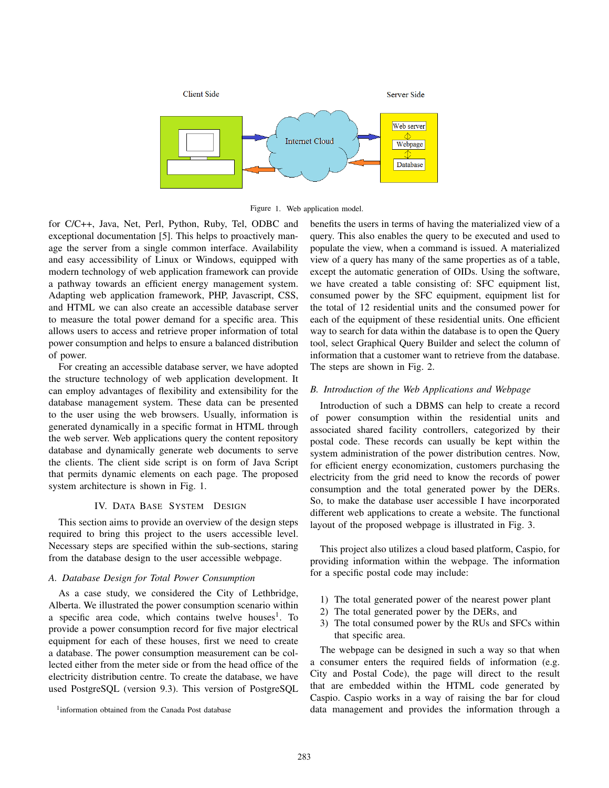

Figure 1. Web application model.

for C/C++, Java, Net, Perl, Python, Ruby, Tel, ODBC and exceptional documentation [5]. This helps to proactively manage the server from a single common interface. Availability and easy accessibility of Linux or Windows, equipped with modern technology of web application framework can provide a pathway towards an efficient energy management system. Adapting web application framework, PHP, Javascript, CSS, and HTML we can also create an accessible database server to measure the total power demand for a specific area. This allows users to access and retrieve proper information of total power consumption and helps to ensure a balanced distribution of power.

For creating an accessible database server, we have adopted the structure technology of web application development. It can employ advantages of flexibility and extensibility for the database management system. These data can be presented to the user using the web browsers. Usually, information is generated dynamically in a specific format in HTML through the web server. Web applications query the content repository database and dynamically generate web documents to serve the clients. The client side script is on form of Java Script that permits dynamic elements on each page. The proposed system architecture is shown in Fig. 1.

#### IV. DATA BASE SYSTEM DESIGN

This section aims to provide an overview of the design steps required to bring this project to the users accessible level. Necessary steps are specified within the sub-sections, staring from the database design to the user accessible webpage.

## *A. Database Design for Total Power Consumption*

As a case study, we considered the City of Lethbridge, Alberta. We illustrated the power consumption scenario within a specific area code, which contains twelve houses<sup>1</sup>. To provide a power consumption record for five major electrical equipment for each of these houses, first we need to create a database. The power consumption measurement can be collected either from the meter side or from the head office of the electricity distribution centre. To create the database, we have used PostgreSQL (version 9.3). This version of PostgreSQL

<sup>1</sup>information obtained from the Canada Post database

benefits the users in terms of having the materialized view of a query. This also enables the query to be executed and used to populate the view, when a command is issued. A materialized view of a query has many of the same properties as of a table, except the automatic generation of OIDs. Using the software, we have created a table consisting of: SFC equipment list, consumed power by the SFC equipment, equipment list for the total of 12 residential units and the consumed power for each of the equipment of these residential units. One efficient way to search for data within the database is to open the Query tool, select Graphical Query Builder and select the column of information that a customer want to retrieve from the database. The steps are shown in Fig. 2.

#### *B. Introduction of the Web Applications and Webpage*

Introduction of such a DBMS can help to create a record of power consumption within the residential units and associated shared facility controllers, categorized by their postal code. These records can usually be kept within the system administration of the power distribution centres. Now, for efficient energy economization, customers purchasing the electricity from the grid need to know the records of power consumption and the total generated power by the DERs. So, to make the database user accessible I have incorporated different web applications to create a website. The functional layout of the proposed webpage is illustrated in Fig. 3.

This project also utilizes a cloud based platform, Caspio, for providing information within the webpage. The information for a specific postal code may include:

- 1) The total generated power of the nearest power plant
- 2) The total generated power by the DERs, and
- 3) The total consumed power by the RUs and SFCs within that specific area.

The webpage can be designed in such a way so that when a consumer enters the required fields of information (e.g. City and Postal Code), the page will direct to the result that are embedded within the HTML code generated by Caspio. Caspio works in a way of raising the bar for cloud data management and provides the information through a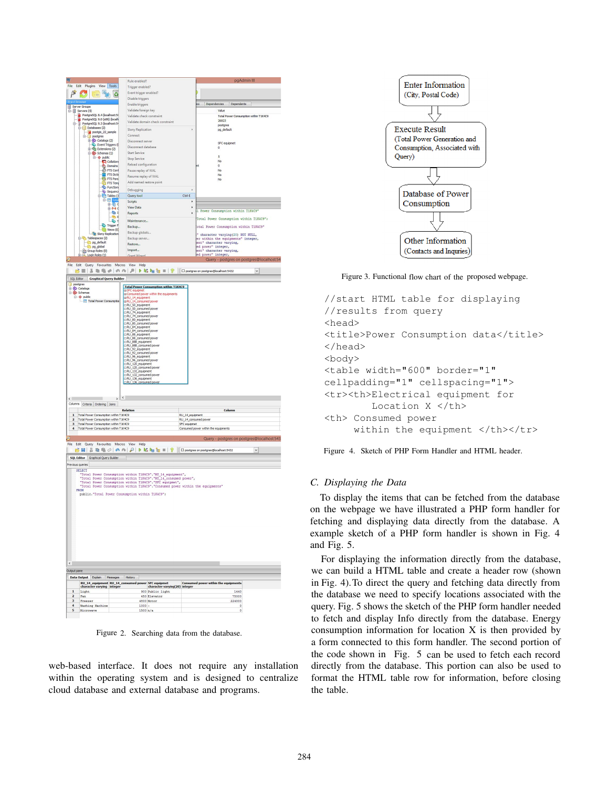

Figure 2. Searching data from the database.

web-based interface. It does not require any installation within the operating system and is designed to centralize cloud database and external database and programs.



Figure 3. Functional flow chart of the proposed webpage.

```
//start HTML table for displaying
//results from query
<head>
<title>Power Consumption data</title>
</head>
<body>
<table width="600" border="1"
cellpadding="1" cellspacing="1">
<tr><th>Electrical equipment for
        Location X </th>
<th> Consumed power
     within the equipment </th></tr>
```
Figure 4. Sketch of PHP Form Handler and HTML header.

### *C. Displaying the Data*

To display the items that can be fetched from the database on the webpage we have illustrated a PHP form handler for fetching and displaying data directly from the database. A example sketch of a PHP form handler is shown in Fig. 4 and Fig. 5.

For displaying the information directly from the database, we can build a HTML table and create a header row (shown the database we need to specify locations associated with the query. Fig. 5 shows the sketch of the PHP form handler needed to fetch and display Info directly from the database. Energy consumption information for location X is then provided by a form connected to this form handler. The second portion of directly from the database. This portion can also be used to format the HTML table row for information, before closing the table. in Fig. 4).To direct the query and fetching data directly from the code shown in Fig. 5 can be used to fetch each record